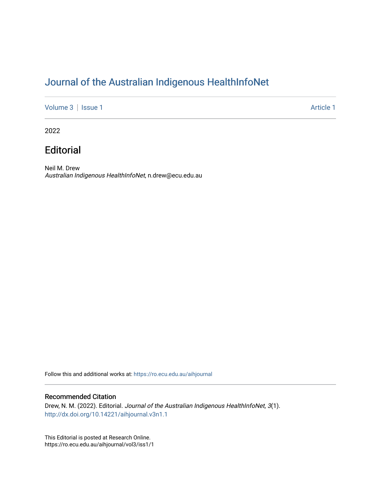## [Journal of the Australian Indigenous HealthInfoNet](https://ro.ecu.edu.au/aihjournal)

[Volume 3](https://ro.ecu.edu.au/aihjournal/vol3) | [Issue 1](https://ro.ecu.edu.au/aihjournal/vol3/iss1) Article 1

2022

## **Editorial**

Neil M. Drew Australian Indigenous HealthInfoNet, n.drew@ecu.edu.au

Follow this and additional works at: [https://ro.ecu.edu.au/aihjournal](https://ro.ecu.edu.au/aihjournal?utm_source=ro.ecu.edu.au%2Faihjournal%2Fvol3%2Fiss1%2F1&utm_medium=PDF&utm_campaign=PDFCoverPages) 

## Recommended Citation

Drew, N. M. (2022). Editorial. Journal of the Australian Indigenous HealthInfoNet, 3(1). <http://dx.doi.org/10.14221/aihjournal.v3n1.1>

This Editorial is posted at Research Online. https://ro.ecu.edu.au/aihjournal/vol3/iss1/1